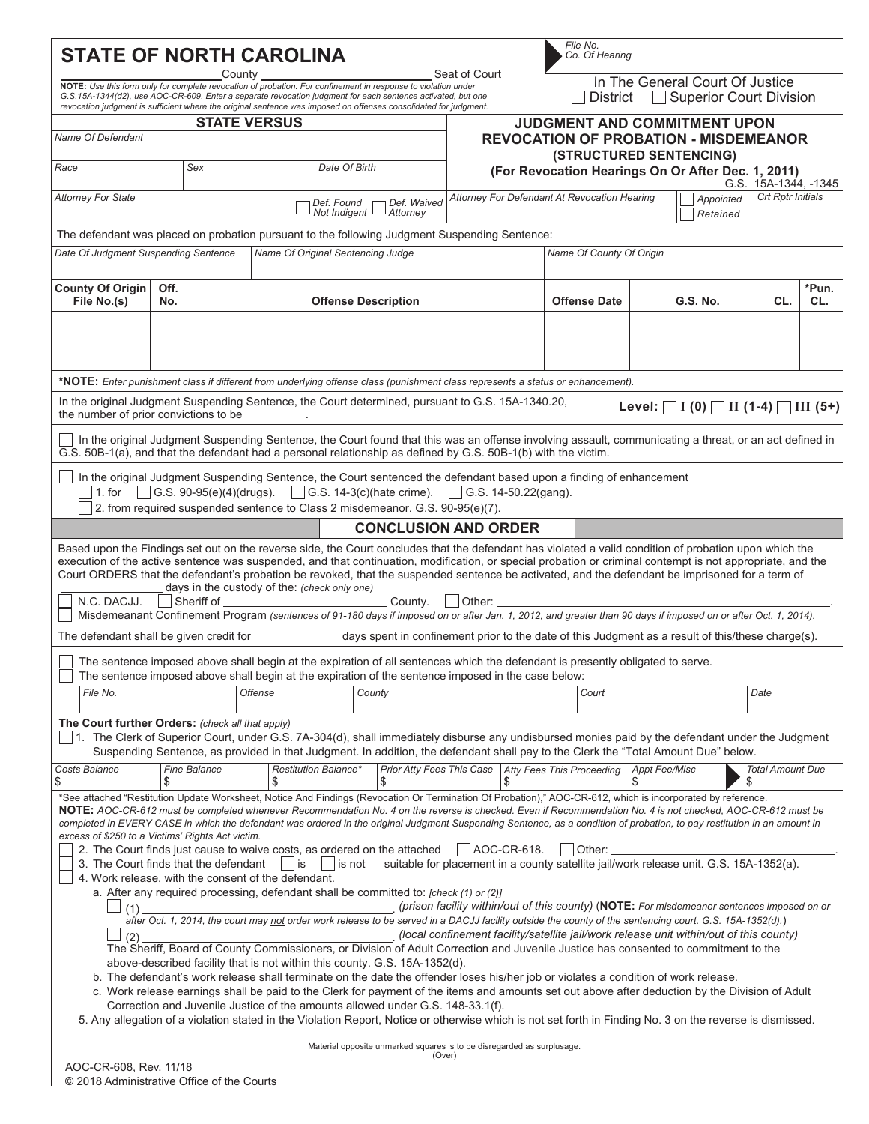| <b>STATE OF NORTH CAROLINA</b><br>Seat of Court<br>County                                                                                                                                                                                                                                                                                                                                                                                                                                                                                                                                                                                                                |                      |                                                            |                |                                                                         | File No.<br>Co. Of Hearing                                                                                                 |                                                                                                                                                                                                                                                                                                                                                                                                                                                                                                                                                                                                                                                                                                                                                                                                                                                                                                                                                                                                                                                                                                                                                                                                                                                                                     |                                                                                                                        |    |                                        |                          |                    |                                                     |           |                         |  |
|--------------------------------------------------------------------------------------------------------------------------------------------------------------------------------------------------------------------------------------------------------------------------------------------------------------------------------------------------------------------------------------------------------------------------------------------------------------------------------------------------------------------------------------------------------------------------------------------------------------------------------------------------------------------------|----------------------|------------------------------------------------------------|----------------|-------------------------------------------------------------------------|----------------------------------------------------------------------------------------------------------------------------|-------------------------------------------------------------------------------------------------------------------------------------------------------------------------------------------------------------------------------------------------------------------------------------------------------------------------------------------------------------------------------------------------------------------------------------------------------------------------------------------------------------------------------------------------------------------------------------------------------------------------------------------------------------------------------------------------------------------------------------------------------------------------------------------------------------------------------------------------------------------------------------------------------------------------------------------------------------------------------------------------------------------------------------------------------------------------------------------------------------------------------------------------------------------------------------------------------------------------------------------------------------------------------------|------------------------------------------------------------------------------------------------------------------------|----|----------------------------------------|--------------------------|--------------------|-----------------------------------------------------|-----------|-------------------------|--|
| NOTE: Use this form only for complete revocation of probation. For confinement in response to violation under<br>G.S.15A-1344(d2), use AOC-CR-609. Enter a separate revocation judgment for each sentence activated, but one<br>revocation judgment is sufficient where the original sentence was imposed on offenses consolidated for judgment.                                                                                                                                                                                                                                                                                                                         |                      |                                                            |                |                                                                         | In The General Court Of Justice<br>Superior Court Division<br><b>District</b>                                              |                                                                                                                                                                                                                                                                                                                                                                                                                                                                                                                                                                                                                                                                                                                                                                                                                                                                                                                                                                                                                                                                                                                                                                                                                                                                                     |                                                                                                                        |    |                                        |                          |                    |                                                     |           |                         |  |
| <b>STATE VERSUS</b>                                                                                                                                                                                                                                                                                                                                                                                                                                                                                                                                                                                                                                                      |                      |                                                            |                |                                                                         |                                                                                                                            |                                                                                                                                                                                                                                                                                                                                                                                                                                                                                                                                                                                                                                                                                                                                                                                                                                                                                                                                                                                                                                                                                                                                                                                                                                                                                     |                                                                                                                        |    | <b>JUDGMENT AND COMMITMENT UPON</b>    |                          |                    |                                                     |           |                         |  |
| <b>Name Of Defendant</b>                                                                                                                                                                                                                                                                                                                                                                                                                                                                                                                                                                                                                                                 |                      |                                                            |                | <b>REVOCATION OF PROBATION - MISDEMEANOR</b><br>(STRUCTURED SENTENCING) |                                                                                                                            |                                                                                                                                                                                                                                                                                                                                                                                                                                                                                                                                                                                                                                                                                                                                                                                                                                                                                                                                                                                                                                                                                                                                                                                                                                                                                     |                                                                                                                        |    |                                        |                          |                    |                                                     |           |                         |  |
| Race                                                                                                                                                                                                                                                                                                                                                                                                                                                                                                                                                                                                                                                                     | Sex<br>Date Of Birth |                                                            |                |                                                                         | (For Revocation Hearings On Or After Dec. 1, 2011)<br>G.S. 15A-1344, -1345<br>Attorney For Defendant At Revocation Hearing |                                                                                                                                                                                                                                                                                                                                                                                                                                                                                                                                                                                                                                                                                                                                                                                                                                                                                                                                                                                                                                                                                                                                                                                                                                                                                     |                                                                                                                        |    |                                        |                          |                    |                                                     |           |                         |  |
| <b>Attorney For State</b>                                                                                                                                                                                                                                                                                                                                                                                                                                                                                                                                                                                                                                                |                      |                                                            |                |                                                                         | Def. Found<br>Not Indigent                                                                                                 | Def. Waived<br>Attorney                                                                                                                                                                                                                                                                                                                                                                                                                                                                                                                                                                                                                                                                                                                                                                                                                                                                                                                                                                                                                                                                                                                                                                                                                                                             |                                                                                                                        |    |                                        |                          |                    | Retained                                            | Appointed | Crt Rptr Initials       |  |
| The defendant was placed on probation pursuant to the following Judgment Suspending Sentence:                                                                                                                                                                                                                                                                                                                                                                                                                                                                                                                                                                            |                      |                                                            |                |                                                                         |                                                                                                                            |                                                                                                                                                                                                                                                                                                                                                                                                                                                                                                                                                                                                                                                                                                                                                                                                                                                                                                                                                                                                                                                                                                                                                                                                                                                                                     |                                                                                                                        |    |                                        |                          |                    |                                                     |           |                         |  |
| Date Of Judgment Suspending Sentence                                                                                                                                                                                                                                                                                                                                                                                                                                                                                                                                                                                                                                     |                      |                                                            |                |                                                                         |                                                                                                                            | Name Of Original Sentencing Judge                                                                                                                                                                                                                                                                                                                                                                                                                                                                                                                                                                                                                                                                                                                                                                                                                                                                                                                                                                                                                                                                                                                                                                                                                                                   |                                                                                                                        |    |                                        | Name Of County Of Origin |                    |                                                     |           |                         |  |
| <b>County Of Origin</b><br>File No.(s)                                                                                                                                                                                                                                                                                                                                                                                                                                                                                                                                                                                                                                   | Off.<br>No.          |                                                            |                |                                                                         |                                                                                                                            | <b>Offense Description</b>                                                                                                                                                                                                                                                                                                                                                                                                                                                                                                                                                                                                                                                                                                                                                                                                                                                                                                                                                                                                                                                                                                                                                                                                                                                          |                                                                                                                        |    | <b>Offense Date</b><br><b>G.S. No.</b> |                          |                    |                                                     | CL.       | *Pun.<br>CL.            |  |
|                                                                                                                                                                                                                                                                                                                                                                                                                                                                                                                                                                                                                                                                          |                      |                                                            |                |                                                                         |                                                                                                                            |                                                                                                                                                                                                                                                                                                                                                                                                                                                                                                                                                                                                                                                                                                                                                                                                                                                                                                                                                                                                                                                                                                                                                                                                                                                                                     |                                                                                                                        |    |                                        |                          |                    |                                                     |           |                         |  |
| *NOTE: Enter punishment class if different from underlying offense class (punishment class represents a status or enhancement).                                                                                                                                                                                                                                                                                                                                                                                                                                                                                                                                          |                      |                                                            |                |                                                                         |                                                                                                                            |                                                                                                                                                                                                                                                                                                                                                                                                                                                                                                                                                                                                                                                                                                                                                                                                                                                                                                                                                                                                                                                                                                                                                                                                                                                                                     |                                                                                                                        |    |                                        |                          |                    |                                                     |           |                         |  |
| In the original Judgment Suspending Sentence, the Court determined, pursuant to G.S. 15A-1340.20,<br>the number of prior convictions to be _________.                                                                                                                                                                                                                                                                                                                                                                                                                                                                                                                    |                      |                                                            |                |                                                                         |                                                                                                                            |                                                                                                                                                                                                                                                                                                                                                                                                                                                                                                                                                                                                                                                                                                                                                                                                                                                                                                                                                                                                                                                                                                                                                                                                                                                                                     |                                                                                                                        |    |                                        |                          |                    | Level: $\Box$ I (0) $\Box$ II (1-4) $\Box$ III (5+) |           |                         |  |
| G.S. 50B-1(a), and that the defendant had a personal relationship as defined by G.S. 50B-1(b) with the victim.                                                                                                                                                                                                                                                                                                                                                                                                                                                                                                                                                           |                      |                                                            |                |                                                                         |                                                                                                                            | In the original Judgment Suspending Sentence, the Court found that this was an offense involving assault, communicating a threat, or an act defined in                                                                                                                                                                                                                                                                                                                                                                                                                                                                                                                                                                                                                                                                                                                                                                                                                                                                                                                                                                                                                                                                                                                              |                                                                                                                        |    |                                        |                          |                    |                                                     |           |                         |  |
| $\vert$ 1. for                                                                                                                                                                                                                                                                                                                                                                                                                                                                                                                                                                                                                                                           |                      |                                                            |                |                                                                         |                                                                                                                            | In the original Judgment Suspending Sentence, the Court sentenced the defendant based upon a finding of enhancement<br>G.S. 90-95(e)(4)(drugs). G.S. 14-3(c)(hate crime). G.S. 14-50.22(gang).<br>2. from required suspended sentence to Class 2 misdemeanor. G.S. 90-95(e)(7).                                                                                                                                                                                                                                                                                                                                                                                                                                                                                                                                                                                                                                                                                                                                                                                                                                                                                                                                                                                                     |                                                                                                                        |    |                                        |                          |                    |                                                     |           |                         |  |
|                                                                                                                                                                                                                                                                                                                                                                                                                                                                                                                                                                                                                                                                          |                      |                                                            |                |                                                                         |                                                                                                                            | <b>CONCLUSION AND ORDER</b>                                                                                                                                                                                                                                                                                                                                                                                                                                                                                                                                                                                                                                                                                                                                                                                                                                                                                                                                                                                                                                                                                                                                                                                                                                                         |                                                                                                                        |    |                                        |                          |                    |                                                     |           |                         |  |
| Based upon the Findings set out on the reverse side, the Court concludes that the defendant has violated a valid condition of probation upon which the<br>execution of the active sentence was suspended, and that continuation, modification, or special probation or criminal contempt is not appropriate, and the<br>Court ORDERS that the defendant's probation be revoked, that the suspended sentence be activated, and the defendant be imprisoned for a term of<br>N.C. DACJJ.                                                                                                                                                                                   |                      | days in the custody of the: (check only one)<br>Sheriff of |                |                                                                         |                                                                                                                            | _ County.                                                                                                                                                                                                                                                                                                                                                                                                                                                                                                                                                                                                                                                                                                                                                                                                                                                                                                                                                                                                                                                                                                                                                                                                                                                                           | Other:                                                                                                                 |    |                                        |                          |                    |                                                     |           |                         |  |
|                                                                                                                                                                                                                                                                                                                                                                                                                                                                                                                                                                                                                                                                          |                      |                                                            |                |                                                                         |                                                                                                                            | Misdemeanant Confinement Program (sentences of 91-180 days if imposed on or after Jan. 1, 2012, and greater than 90 days if imposed on or after Oct. 1, 2014).                                                                                                                                                                                                                                                                                                                                                                                                                                                                                                                                                                                                                                                                                                                                                                                                                                                                                                                                                                                                                                                                                                                      |                                                                                                                        |    |                                        |                          |                    |                                                     |           |                         |  |
|                                                                                                                                                                                                                                                                                                                                                                                                                                                                                                                                                                                                                                                                          |                      |                                                            |                |                                                                         |                                                                                                                            | days spent in confinement prior to the date of this Judgment as a result of this/these charge(s).                                                                                                                                                                                                                                                                                                                                                                                                                                                                                                                                                                                                                                                                                                                                                                                                                                                                                                                                                                                                                                                                                                                                                                                   |                                                                                                                        |    |                                        |                          |                    |                                                     |           |                         |  |
|                                                                                                                                                                                                                                                                                                                                                                                                                                                                                                                                                                                                                                                                          |                      |                                                            |                |                                                                         |                                                                                                                            | The sentence imposed above shall begin at the expiration of all sentences which the defendant is presently obligated to serve.<br>The sentence imposed above shall begin at the expiration of the sentence imposed in the case below:                                                                                                                                                                                                                                                                                                                                                                                                                                                                                                                                                                                                                                                                                                                                                                                                                                                                                                                                                                                                                                               |                                                                                                                        |    |                                        |                          |                    |                                                     |           |                         |  |
| File No.                                                                                                                                                                                                                                                                                                                                                                                                                                                                                                                                                                                                                                                                 |                      |                                                            | <b>Offense</b> |                                                                         |                                                                                                                            | County                                                                                                                                                                                                                                                                                                                                                                                                                                                                                                                                                                                                                                                                                                                                                                                                                                                                                                                                                                                                                                                                                                                                                                                                                                                                              |                                                                                                                        |    | Court                                  |                          |                    |                                                     | Date      |                         |  |
| The Court further Orders: (check all that apply)<br>1. The Clerk of Superior Court, under G.S. 7A-304(d), shall immediately disburse any undisbursed monies paid by the defendant under the Judgment                                                                                                                                                                                                                                                                                                                                                                                                                                                                     |                      |                                                            |                |                                                                         |                                                                                                                            | Suspending Sentence, as provided in that Judgment. In addition, the defendant shall pay to the Clerk the "Total Amount Due" below.                                                                                                                                                                                                                                                                                                                                                                                                                                                                                                                                                                                                                                                                                                                                                                                                                                                                                                                                                                                                                                                                                                                                                  |                                                                                                                        |    |                                        |                          |                    |                                                     |           |                         |  |
| Costs Balance<br>\$                                                                                                                                                                                                                                                                                                                                                                                                                                                                                                                                                                                                                                                      | \$                   | <b>Fine Balance</b>                                        |                | \$                                                                      | <b>Restitution Balance*</b>                                                                                                | Prior Atty Fees This Case   Atty Fees This Proceeding<br>\$                                                                                                                                                                                                                                                                                                                                                                                                                                                                                                                                                                                                                                                                                                                                                                                                                                                                                                                                                                                                                                                                                                                                                                                                                         |                                                                                                                        | \$ |                                        |                          | Appt Fee/Misc<br>S |                                                     | \$        | <b>Total Amount Due</b> |  |
| *See attached "Restitution Update Worksheet, Notice And Findings (Revocation Or Termination Of Probation)," AOC-CR-612, which is incorporated by reference.<br>NOTE: AOC-CR-612 must be completed whenever Recommendation No. 4 on the reverse is checked. Even if Recommendation No. 4 is not checked, AOC-CR-612 must be<br>completed in EVERY CASE in which the defendant was ordered in the original Judgment Suspending Sentence, as a condition of probation, to pay restitution in an amount in<br>excess of \$250 to a Victims' Rights Act victim.<br>3. The Court finds that the defendant<br>4. Work release, with the consent of the defendant.<br>(1)<br>(2) |                      |                                                            |                | is                                                                      | is not                                                                                                                     | 2. The Court finds just cause to waive costs, as ordered on the attached<br>suitable for placement in a county satellite jail/work release unit. G.S. 15A-1352(a).<br>a. After any required processing, defendant shall be committed to: [check (1) or (2)]<br>(prison facility within/out of this county) (NOTE: For misdemeanor sentences imposed on or<br>after Oct. 1, 2014, the court may not order work release to be served in a DACJJ facility outside the county of the sentencing court. G.S. 15A-1352(d).)<br>The Sheriff, Board of County Commissioners, or Division of Adult Correction and Juvenile Justice has consented to commitment to the<br>above-described facility that is not within this county. G.S. 15A-1352(d).<br>b. The defendant's work release shall terminate on the date the offender loses his/her job or violates a condition of work release.<br>c. Work release earnings shall be paid to the Clerk for payment of the items and amounts set out above after deduction by the Division of Adult<br>Correction and Juvenile Justice of the amounts allowed under G.S. 148-33.1(f).<br>5. Any allegation of a violation stated in the Violation Report, Notice or otherwise which is not set forth in Finding No. 3 on the reverse is dismissed. | $\vert$ $\vert$ AOC-CR-618.<br>(local confinement facility/satellite jail/work release unit within/out of this county) |    |                                        | Other:                   |                    |                                                     |           |                         |  |
|                                                                                                                                                                                                                                                                                                                                                                                                                                                                                                                                                                                                                                                                          |                      |                                                            |                |                                                                         |                                                                                                                            | Material opposite unmarked squares is to be disregarded as surplusage.                                                                                                                                                                                                                                                                                                                                                                                                                                                                                                                                                                                                                                                                                                                                                                                                                                                                                                                                                                                                                                                                                                                                                                                                              | (Over)                                                                                                                 |    |                                        |                          |                    |                                                     |           |                         |  |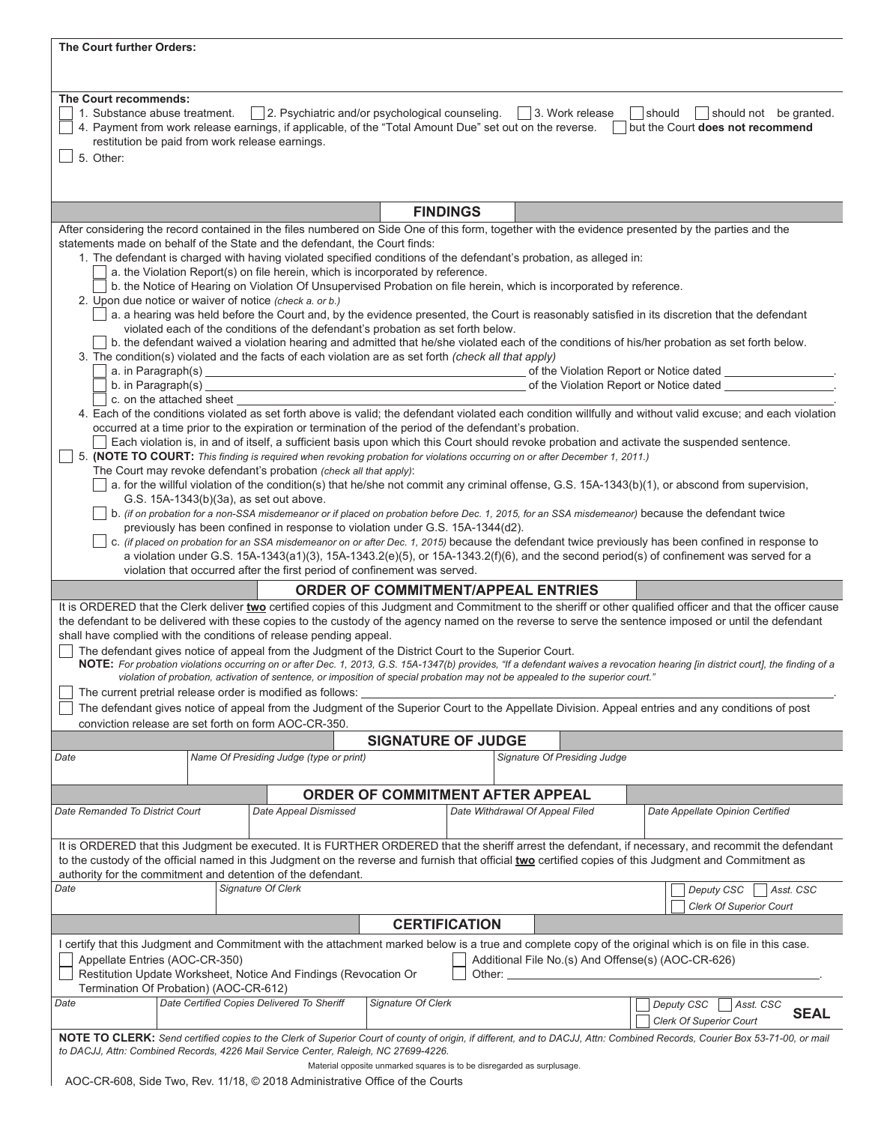| The Court further Orders:                                                                                                                                                                                                                                                                                                                                                                         |                                                                                                                                                                                                                                                                                                                                                                                                                                                                                                                                                                                                                                                                                                                                                                                                                                                                                                                                                                                                                                                                                                                                                                                                                                                                                                                                                                |                                                                                                                                                                    |                                                                        |                      |                                                                                                                                                                                                                                           |                                                                                                                                                                                                                                                                                                                                                                                                                                                                                                                                                                                                                                                                  |  |  |
|---------------------------------------------------------------------------------------------------------------------------------------------------------------------------------------------------------------------------------------------------------------------------------------------------------------------------------------------------------------------------------------------------|----------------------------------------------------------------------------------------------------------------------------------------------------------------------------------------------------------------------------------------------------------------------------------------------------------------------------------------------------------------------------------------------------------------------------------------------------------------------------------------------------------------------------------------------------------------------------------------------------------------------------------------------------------------------------------------------------------------------------------------------------------------------------------------------------------------------------------------------------------------------------------------------------------------------------------------------------------------------------------------------------------------------------------------------------------------------------------------------------------------------------------------------------------------------------------------------------------------------------------------------------------------------------------------------------------------------------------------------------------------|--------------------------------------------------------------------------------------------------------------------------------------------------------------------|------------------------------------------------------------------------|----------------------|-------------------------------------------------------------------------------------------------------------------------------------------------------------------------------------------------------------------------------------------|------------------------------------------------------------------------------------------------------------------------------------------------------------------------------------------------------------------------------------------------------------------------------------------------------------------------------------------------------------------------------------------------------------------------------------------------------------------------------------------------------------------------------------------------------------------------------------------------------------------------------------------------------------------|--|--|
|                                                                                                                                                                                                                                                                                                                                                                                                   |                                                                                                                                                                                                                                                                                                                                                                                                                                                                                                                                                                                                                                                                                                                                                                                                                                                                                                                                                                                                                                                                                                                                                                                                                                                                                                                                                                |                                                                                                                                                                    |                                                                        |                      |                                                                                                                                                                                                                                           |                                                                                                                                                                                                                                                                                                                                                                                                                                                                                                                                                                                                                                                                  |  |  |
| The Court recommends:<br>1. Substance abuse treatment.   2. Psychiatric and/or psychological counseling.<br>$\vert$ 3. Work release<br>$\Box$ should $\Box$ should not be granted.<br>4. Payment from work release earnings, if applicable, of the "Total Amount Due" set out on the reverse.<br>but the Court does not recommend<br>restitution be paid from work release earnings.<br>5. Other: |                                                                                                                                                                                                                                                                                                                                                                                                                                                                                                                                                                                                                                                                                                                                                                                                                                                                                                                                                                                                                                                                                                                                                                                                                                                                                                                                                                |                                                                                                                                                                    |                                                                        |                      |                                                                                                                                                                                                                                           |                                                                                                                                                                                                                                                                                                                                                                                                                                                                                                                                                                                                                                                                  |  |  |
|                                                                                                                                                                                                                                                                                                                                                                                                   |                                                                                                                                                                                                                                                                                                                                                                                                                                                                                                                                                                                                                                                                                                                                                                                                                                                                                                                                                                                                                                                                                                                                                                                                                                                                                                                                                                |                                                                                                                                                                    |                                                                        | <b>FINDINGS</b>      |                                                                                                                                                                                                                                           |                                                                                                                                                                                                                                                                                                                                                                                                                                                                                                                                                                                                                                                                  |  |  |
|                                                                                                                                                                                                                                                                                                                                                                                                   |                                                                                                                                                                                                                                                                                                                                                                                                                                                                                                                                                                                                                                                                                                                                                                                                                                                                                                                                                                                                                                                                                                                                                                                                                                                                                                                                                                |                                                                                                                                                                    |                                                                        |                      |                                                                                                                                                                                                                                           | After considering the record contained in the files numbered on Side One of this form, together with the evidence presented by the parties and the                                                                                                                                                                                                                                                                                                                                                                                                                                                                                                               |  |  |
| statements made on behalf of the State and the defendant, the Court finds:<br>2. Upon due notice or waiver of notice (check a. or b.)<br>3. The condition(s) violated and the facts of each violation are as set forth (check all that apply)                                                                                                                                                     |                                                                                                                                                                                                                                                                                                                                                                                                                                                                                                                                                                                                                                                                                                                                                                                                                                                                                                                                                                                                                                                                                                                                                                                                                                                                                                                                                                | a. the Violation Report(s) on file herein, which is incorporated by reference.<br>violated each of the conditions of the defendant's probation as set forth below. |                                                                        |                      | 1. The defendant is charged with having violated specified conditions of the defendant's probation, as alleged in:<br>b. the Notice of Hearing on Violation Of Unsupervised Probation on file herein, which is incorporated by reference. | a. a hearing was held before the Court and, by the evidence presented, the Court is reasonably satisfied in its discretion that the defendant<br>b. the defendant waived a violation hearing and admitted that he/she violated each of the conditions of his/her probation as set forth below.                                                                                                                                                                                                                                                                                                                                                                   |  |  |
| b. in Paragraph(s) $\_\$                                                                                                                                                                                                                                                                                                                                                                          |                                                                                                                                                                                                                                                                                                                                                                                                                                                                                                                                                                                                                                                                                                                                                                                                                                                                                                                                                                                                                                                                                                                                                                                                                                                                                                                                                                |                                                                                                                                                                    |                                                                        |                      |                                                                                                                                                                                                                                           | of the Violation Report or Notice dated the Contract of the Violation Report or Notice dated                                                                                                                                                                                                                                                                                                                                                                                                                                                                                                                                                                     |  |  |
| c. on the attached sheet _                                                                                                                                                                                                                                                                                                                                                                        |                                                                                                                                                                                                                                                                                                                                                                                                                                                                                                                                                                                                                                                                                                                                                                                                                                                                                                                                                                                                                                                                                                                                                                                                                                                                                                                                                                |                                                                                                                                                                    |                                                                        |                      |                                                                                                                                                                                                                                           |                                                                                                                                                                                                                                                                                                                                                                                                                                                                                                                                                                                                                                                                  |  |  |
| violation that occurred after the first period of confinement was served.                                                                                                                                                                                                                                                                                                                         | 4. Each of the conditions violated as set forth above is valid; the defendant violated each condition willfully and without valid excuse; and each violation<br>occurred at a time prior to the expiration or termination of the period of the defendant's probation.<br>Each violation is, in and of itself, a sufficient basis upon which this Court should revoke probation and activate the suspended sentence.<br>5. (NOTE TO COURT: This finding is required when revoking probation for violations occurring on or after December 1, 2011.)<br>The Court may revoke defendant's probation (check all that apply):<br>a. for the willful violation of the condition(s) that he/she not commit any criminal offense, G.S. 15A-1343(b)(1), or abscond from supervision,<br>G.S. 15A-1343(b)(3a), as set out above.<br>b. (if on probation for a non-SSA misdemeanor or if placed on probation before Dec. 1, 2015, for an SSA misdemeanor) because the defendant twice<br>previously has been confined in response to violation under G.S. 15A-1344(d2).<br>c. (if placed on probation for an SSA misdemeanor on or after Dec. 1, 2015) because the defendant twice previously has been confined in response to<br>a violation under G.S. 15A-1343(a1)(3), 15A-1343.2(e)(5), or 15A-1343.2(f)(6), and the second period(s) of confinement was served for a |                                                                                                                                                                    |                                                                        |                      |                                                                                                                                                                                                                                           |                                                                                                                                                                                                                                                                                                                                                                                                                                                                                                                                                                                                                                                                  |  |  |
|                                                                                                                                                                                                                                                                                                                                                                                                   |                                                                                                                                                                                                                                                                                                                                                                                                                                                                                                                                                                                                                                                                                                                                                                                                                                                                                                                                                                                                                                                                                                                                                                                                                                                                                                                                                                |                                                                                                                                                                    |                                                                        |                      | <b>ORDER OF COMMITMENT/APPEAL ENTRIES</b>                                                                                                                                                                                                 |                                                                                                                                                                                                                                                                                                                                                                                                                                                                                                                                                                                                                                                                  |  |  |
| shall have complied with the conditions of release pending appeal.<br>The defendant gives notice of appeal from the Judgment of the District Court to the Superior Court.<br>The current pretrial release order is modified as follows:<br>conviction release are set forth on form AOC-CR-350.                                                                                                   |                                                                                                                                                                                                                                                                                                                                                                                                                                                                                                                                                                                                                                                                                                                                                                                                                                                                                                                                                                                                                                                                                                                                                                                                                                                                                                                                                                |                                                                                                                                                                    |                                                                        |                      | violation of probation, activation of sentence, or imposition of special probation may not be appealed to the superior court."                                                                                                            | It is ORDERED that the Clerk deliver two certified copies of this Judgment and Commitment to the sheriff or other qualified officer and that the officer cause<br>the defendant to be delivered with these copies to the custody of the agency named on the reverse to serve the sentence imposed or until the defendant<br>NOTE: For probation violations occurring on or after Dec. 1, 2013, G.S. 15A-1347(b) provides, "If a defendant waives a revocation hearing [in district court], the finding of a<br>The defendant gives notice of appeal from the Judgment of the Superior Court to the Appellate Division. Appeal entries and any conditions of post |  |  |
|                                                                                                                                                                                                                                                                                                                                                                                                   |                                                                                                                                                                                                                                                                                                                                                                                                                                                                                                                                                                                                                                                                                                                                                                                                                                                                                                                                                                                                                                                                                                                                                                                                                                                                                                                                                                |                                                                                                                                                                    | <b>SIGNATURE OF JUDGE</b>                                              |                      |                                                                                                                                                                                                                                           |                                                                                                                                                                                                                                                                                                                                                                                                                                                                                                                                                                                                                                                                  |  |  |
| Date                                                                                                                                                                                                                                                                                                                                                                                              |                                                                                                                                                                                                                                                                                                                                                                                                                                                                                                                                                                                                                                                                                                                                                                                                                                                                                                                                                                                                                                                                                                                                                                                                                                                                                                                                                                | Name Of Presiding Judge (type or print)                                                                                                                            |                                                                        |                      | Signature Of Presiding Judge                                                                                                                                                                                                              |                                                                                                                                                                                                                                                                                                                                                                                                                                                                                                                                                                                                                                                                  |  |  |
|                                                                                                                                                                                                                                                                                                                                                                                                   |                                                                                                                                                                                                                                                                                                                                                                                                                                                                                                                                                                                                                                                                                                                                                                                                                                                                                                                                                                                                                                                                                                                                                                                                                                                                                                                                                                |                                                                                                                                                                    | <b>ORDER OF COMMITMENT AFTER APPEAL</b>                                |                      |                                                                                                                                                                                                                                           |                                                                                                                                                                                                                                                                                                                                                                                                                                                                                                                                                                                                                                                                  |  |  |
| Date Remanded To District Court                                                                                                                                                                                                                                                                                                                                                                   |                                                                                                                                                                                                                                                                                                                                                                                                                                                                                                                                                                                                                                                                                                                                                                                                                                                                                                                                                                                                                                                                                                                                                                                                                                                                                                                                                                | Date Appeal Dismissed                                                                                                                                              |                                                                        |                      | Date Withdrawal Of Appeal Filed                                                                                                                                                                                                           | Date Appellate Opinion Certified                                                                                                                                                                                                                                                                                                                                                                                                                                                                                                                                                                                                                                 |  |  |
| authority for the commitment and detention of the defendant.                                                                                                                                                                                                                                                                                                                                      |                                                                                                                                                                                                                                                                                                                                                                                                                                                                                                                                                                                                                                                                                                                                                                                                                                                                                                                                                                                                                                                                                                                                                                                                                                                                                                                                                                |                                                                                                                                                                    |                                                                        |                      |                                                                                                                                                                                                                                           | It is ORDERED that this Judgment be executed. It is FURTHER ORDERED that the sheriff arrest the defendant, if necessary, and recommit the defendant<br>to the custody of the official named in this Judgment on the reverse and furnish that official two certified copies of this Judgment and Commitment as                                                                                                                                                                                                                                                                                                                                                    |  |  |
| Date                                                                                                                                                                                                                                                                                                                                                                                              | Signature Of Clerk                                                                                                                                                                                                                                                                                                                                                                                                                                                                                                                                                                                                                                                                                                                                                                                                                                                                                                                                                                                                                                                                                                                                                                                                                                                                                                                                             |                                                                                                                                                                    |                                                                        |                      |                                                                                                                                                                                                                                           | Deputy CSC<br>Asst. CSC<br><b>Clerk Of Superior Court</b>                                                                                                                                                                                                                                                                                                                                                                                                                                                                                                                                                                                                        |  |  |
|                                                                                                                                                                                                                                                                                                                                                                                                   |                                                                                                                                                                                                                                                                                                                                                                                                                                                                                                                                                                                                                                                                                                                                                                                                                                                                                                                                                                                                                                                                                                                                                                                                                                                                                                                                                                |                                                                                                                                                                    |                                                                        | <b>CERTIFICATION</b> |                                                                                                                                                                                                                                           |                                                                                                                                                                                                                                                                                                                                                                                                                                                                                                                                                                                                                                                                  |  |  |
| Appellate Entries (AOC-CR-350)<br>Restitution Update Worksheet, Notice And Findings (Revocation Or<br>Termination Of Probation) (AOC-CR-612)                                                                                                                                                                                                                                                      |                                                                                                                                                                                                                                                                                                                                                                                                                                                                                                                                                                                                                                                                                                                                                                                                                                                                                                                                                                                                                                                                                                                                                                                                                                                                                                                                                                |                                                                                                                                                                    |                                                                        |                      | Other: and the control of the control of the control of the control of the control of the control of the control of the control of the control of the control of the control of the control of the control of the control of t            | I certify that this Judgment and Commitment with the attachment marked below is a true and complete copy of the original which is on file in this case.<br>Additional File No.(s) And Offense(s) (AOC-CR-626)                                                                                                                                                                                                                                                                                                                                                                                                                                                    |  |  |
| Date                                                                                                                                                                                                                                                                                                                                                                                              |                                                                                                                                                                                                                                                                                                                                                                                                                                                                                                                                                                                                                                                                                                                                                                                                                                                                                                                                                                                                                                                                                                                                                                                                                                                                                                                                                                | Date Certified Copies Delivered To Sheriff                                                                                                                         | Signature Of Clerk                                                     |                      |                                                                                                                                                                                                                                           | Deputy CSC<br>Asst. CSC<br><b>SEAL</b><br><b>Clerk Of Superior Court</b>                                                                                                                                                                                                                                                                                                                                                                                                                                                                                                                                                                                         |  |  |
| to DACJJ, Attn: Combined Records, 4226 Mail Service Center, Raleigh, NC 27699-4226.                                                                                                                                                                                                                                                                                                               |                                                                                                                                                                                                                                                                                                                                                                                                                                                                                                                                                                                                                                                                                                                                                                                                                                                                                                                                                                                                                                                                                                                                                                                                                                                                                                                                                                |                                                                                                                                                                    | Material opposite unmarked squares is to be disregarded as surplusage. |                      |                                                                                                                                                                                                                                           | NOTE TO CLERK: Send certified copies to the Clerk of Superior Court of county of origin, if different, and to DACJJ, Attn: Combined Records, Courier Box 53-71-00, or mail                                                                                                                                                                                                                                                                                                                                                                                                                                                                                       |  |  |

AOC-CR-608, Side Two, Rev. 11/18, © 2018 Administrative Office of the Courts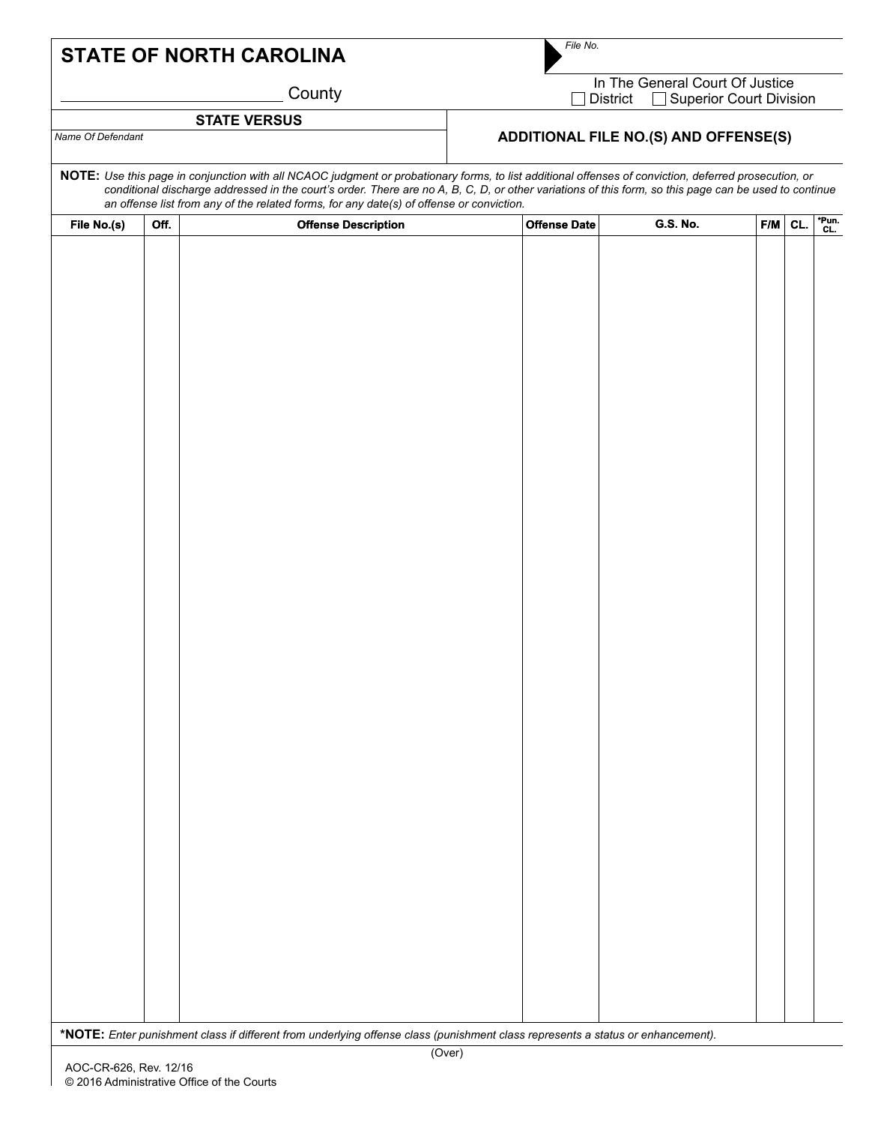## **STATE OF NORTH CAROLINA**

*File No.*

**County** 

| STATE VERSUS      |                                              |
|-------------------|----------------------------------------------|
| Name Of Defendant | <b>ADDITIONAL FILE NO.(S) AND OFFENSE(S)</b> |

In The General Court Of Justice □ District □ Superior Court Division

| <b>STATE VERSUS</b><br>Name Of Defendant |      |                                                                                                                                 |                                                                                                                                                                                                                                                                                                                |                 |     |     |          |  |  |  |
|------------------------------------------|------|---------------------------------------------------------------------------------------------------------------------------------|----------------------------------------------------------------------------------------------------------------------------------------------------------------------------------------------------------------------------------------------------------------------------------------------------------------|-----------------|-----|-----|----------|--|--|--|
|                                          |      |                                                                                                                                 | <b>ADDITIONAL FILE NO.(S) AND OFFENSE(S)</b>                                                                                                                                                                                                                                                                   |                 |     |     |          |  |  |  |
|                                          |      | an offense list from any of the related forms, for any date(s) of offense or conviction.                                        | NOTE: Use this page in conjunction with all NCAOC judgment or probationary forms, to list additional offenses of conviction, deferred prosecution, or<br>conditional discharge addressed in the court's order. There are no A, B, C, D, or other variations of this form, so this page can be used to continue |                 |     |     |          |  |  |  |
|                                          |      |                                                                                                                                 |                                                                                                                                                                                                                                                                                                                |                 |     |     |          |  |  |  |
| File No.(s)                              | Off. | <b>Offense Description</b>                                                                                                      | <b>Offense Date</b>                                                                                                                                                                                                                                                                                            | <b>G.S. No.</b> | F/M | CL. | $T$ Pun. |  |  |  |
|                                          |      |                                                                                                                                 |                                                                                                                                                                                                                                                                                                                |                 |     |     |          |  |  |  |
|                                          |      | *NOTE: Enter punishment class if different from underlying offense class (punishment class represents a status or enhancement). |                                                                                                                                                                                                                                                                                                                |                 |     |     |          |  |  |  |